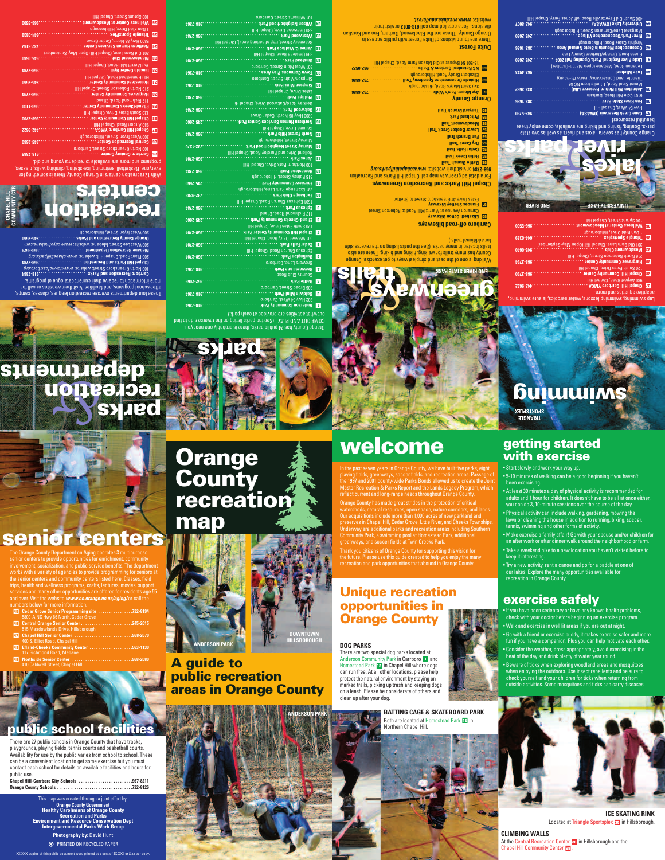Walking is one of the best and simplest ways to get exercise. Orange ounty has many trails for walking, hiking and biking. There are also C trails located in many parks. (See the parks listing on the reverse side or additional trails.) f

## **Carrboro off-road bikeways**

**Elizabeth Cotton Bikeway** \$ Cameron Avenue at Merritt Mill Road to Roberson Street **Frances Shetley Bikeway** %

# stes Drive At Greensboro Street to Shelton E

**www.chapelhillparks.org/ 968-2784** or visit their website: www.chapelhillparks.org **Battle Branch Trail** ^ **olin Creek Trail Trails Trails Trail** 

## **Chapel Hill Parks and Recreation Greenways**

or a detailed greenway map call Chapel Hill Parks and Recreation F

There are four divisions of Duke Forest with public access in Orange County. These are the Blackwood, Durham, Eno and Korstian divisity to **6108-613** lies gem belisteb a to<sup>7</sup> . anoisivib

**Dry Creek Trail** ( **Fan Branch Trail** )

- **Lower Booker Creek Trail** \_
- 
- 
- 
- 
- **Meadowmont Trail** +
- 
- 
- 
- 
- **Pritchard Park**
- 
- **anyard Branch Trail**
- 
- **Orange County**
- **Ayr Mount-Poet's Walk . . . . . . . . . . . . . . . . . . . . . . . . . . . . .732-6886** E 376 Saint Mary's Road, Hillsborough
- 
- **istoric Occoneechee Speedway Trail . . . . . . . . . . . . . . .732-6886 H** R
- Elizabeth Brady Road, Hillsborough
- 
- 
- 
- **NC Botanical Gardens & Trails . . . . . . . . . . . . . . . . . . . . . . .962-0522** T
- 
- 15-501 54 Bypass at Old Mason Farm Road, Chapel Hill
- 

# **Duke Forest**

**University Lake (OWASA) . . . . . . . . . . . . . . . . . . . . . . . . . . .942-8007** ,  $400$  South Old Fayetteville Road, off Jones Ferry, Chapel Hill

# *ww.env.duke.edu/forest. <sup>w</sup>* ebsite: w

## range County has several lakes and rivers as well as two state O arks. Boating, fishing and hiking are available, come enjoy these p beautiful resources! **Cane Creek Reservoir (OWASA) . . . . . . . . . . . . . . . . . . . . .942-5790** z

|           | Margaret Lane/Cameron Street, Hillsborough     |              |
|-----------|------------------------------------------------|--------------|
| 0997-SÞZ` | <b>River Park/Occoneechee Village</b>          | <b>Et</b>    |
|           | Virginia Cates Road, Hillsborough              |              |
| 3831-E8E  | Occoneechee Mountain State Natural Area        | <b>1217</b>  |
|           | Guess Road, Orange/Durham County Line,         |              |
| 0997-S77  | Little River Regional Park, Opening Fall 2004  | $\mathbf{I}$ |
|           | Lebanon Road, Mebane (open March-October)      |              |
| ELG7-E9G  | Lake Michael                                   | $ 0\nu $     |
|           | Triangle Land Conservancy: www.tlc-nc.org      |              |
|           | <b>08 JU mont slim 1.1 , baofi isnic truoM</b> |              |
| .833-3962 | (ML) evisen Mill Nature Preserve (JM)          | 68           |
|           | 6101 Cole Mill Road, Durham                    |              |
| 3831-E8E  | <b>Eno River State Park</b>                    | 88           |
|           | lliH ləqsd.) JzəW 48 ywH                       |              |
| 06ZS-ZÞ6` | Cane Creek Reservoir (OWASA)                   | <b>ZB</b>    |
|           |                                                |              |

out what activities are provided at each park.)

**Anderson Community Park . . . . . . . . . . . . . . . . . . . . . . . . . .918-7364** 1

02 Hwy 54 West, Carrboro 3

**aldwin Mini-Park . . . . . . . . . . . . . . . . . . . . . . . . . . . . . . . . .918-7364 B** 2

306 Broad Street, Carrboro

**Battle Park . . . . . . . . . . . . . . . . . . . . . . . . . . . . . . . . . . . . . . . .962-2069** 3

Country Club Road

Brewers Lane, Carrboro

Ephesus Church Road, Chapel Hill

**Brewers Lane Park . . . . . . . . . . . . . . . . . . . . . . . . . . . . . . . . .918-7364** 4

**urlington Park . . . . . . . . . . . . . . . . . . . . . . . . . . . . . . . . . . . .968-2784 B** 5

**edar Falls Park . . . . . . . . . . . . . . . . . . . . . . . . . . . . . . . . . . .968-2784 C** 6

**hapel Hill Community Center Park**<br>**and weaver bany poa**ty crigber pun

501 Weaver Dairy Road, Chapel Hill

120 South Estes Drive, Chapel Hill

**Efland-Cheeks Community Park . . . . . . . . . . . . . . . . . . . . . .245-2660** 8

117 Richmond Road, Efland

**Ephesus Park . . . . . . . . . . . . . . . . . . . . . . . . . . . . . . . . . . . . . .968-2784** 9

501 Ephesus Church Road, Chapel Hill 1

**Exchange Club Park . . . . . . . . . . . . . . . . . . . . . . . . . . . . . . . .732-9283** 0

331 Exchange Park Lane, Hillsborough

**Fairview Community Park . . . . . . . . . . . . . . . . . . . . . . . . . . .245-2660** -

515 Rainey Street, Hillsborough

# **Orange <br>
County<br>
recreation &<br>
recreation & map**

**Orange<br>County** 

 $\alpha$ range County pas 24 public parks, there is probably one near you. Duit of a bis estever edt no pritsil satisq edt ee2) IYAJ9 ONA TUO 3MO3

# **greenway on the construction on the construction on the construction on the construction on the construction on the construction on the construction on the construction on the construction on the construction on the const NO RIVER STATE PARK E**

**Homestead Park . . . . . . . . . . . . . . . . . . . . . . . . . . . . . . . . . . .968-2784** =

100 Northern Park Drive, Chapel Hill

**ones Park . . . . . . . . . . . . . . . . . . . . . . . . . . . . . . . . . . . . . . . .968-2784 <sup>J</sup>** q

Holland Drive and Purefoy Road, Chapel Hill

**urray Street Neighborhood Park . . . . . . . . . . . . . . . . . . .732-1270 M** w

Murray Street, Hillsborough

**North Forest Hills Park . . . . . . . . . . . . . . . . . . . . . . . . . . . . . .968-2784** e

Collums Drive, Chapel Hill

**Northern Human Services Center Park . . . . . . . . . . . . . . . .245-2660** r

800 Hwy 86 North, Cedar Grove 5

**Oakwood Park . . . . . . . . . . . . . . . . . . . . . . . . . . . . . . . . . . . . .968-2784** t

Berkley Road/Oakwood Drive, Chapel Hill

**Phillips Park . . . . . . . . . . . . . . . . . . . . . . . . . . . . . . . . . . . . . . .968-2784** y

Estes Drive, Chapel Hill

This map was created through a joint effort by: **Orange County Government Healthy Carolinians of Orange County Recreation and Parks Environment and Resource Conservation Dept Intergovernmental Parks Work Group Photography by: David Hunt WE PRINTED ON RECYCLED PAPER** 

**impson Mini-Park . . . . . . . . . . . . . . . . . . . . . . . . . . . . . . . . .918-7364 <sup>S</sup>** u

Simpson/Main Street, Carrboro

**own Commons Play Area . . . . . . . . . . . . . . . . . . . . . . . . . . .918-7364 T** i

301 West Main Street, Carrboro

**ICE SKATING RINK**  Located at Triangle Sportsplex **35** in Hillsborough.

**CLIMBING WALLS** At the Central Recreation Center and Hillsborough and the Chapel Hill Community Center 28.

**.968-2784 . . . . . . . . . . . . . . . . . . . . . . . . . . . . . . . . . . . . . Umstead Park** o

99 Umstead Road, Chapel Hill 3

**James C. Wallace Park . . . . . . . . . . . . . . . . . . . . . . . . . . . . .968-2784** p

# **swimming TRIANGLE SPORTSPLEX**

Rosemary Street, (top of parking deck), Chapel Hill

- 530 Dogwood Drive, Chapel Hill
- **Westwood Park . . . . . . . . . . . . . . . . . . . . . . . . . . . . . . . . . . . .968-2784** [
	-
- -
- 
- -
	-
- **Wilson Neighborhood Park . . . . . . . . . . . . . . . . . . . . . . . . . .918-7364** ]
	-
- 
- 
- -
	- -

01 Williams Street, Carrboro 1

ap swimming, swimming lessons, water aerobics, leisure swimming, L

adaptive aquatics and more.

**hapel Hill Carrboro YMCA . . . . . . . . . . . . . . . . . . . . . . . . . .442-9622 <sup>C</sup>** s

 $\overline{\phantom{a}}$ rege four debartments overses recreation leagues, classes, camps, fter-school programs, and facilities. Visit their websites or call for <sup>a</sup> more information to receive their current catalogue of programs. **Carrboro Recreation and Parks . . . . . . . . . . . . . . . . . . . . . .918-7364**  100 North Greensboro Street; website: www.townofcarrboro.org **hapel Hill Parks and Recreation . . . . . . . . . . . . . . . . . . . .968-2784 C** 200 Plant Road, Chapel Hill; website: www.*chapelhillparks.org* **Mebane Recreation Department . . . . . . . . . . . . . . . . . . . . .563-3629**  <u>200 West Lee Street, Mebane; website: www.cityofmebane.com</u> **Orange County Recreation and Parks . . . . . . . . . . . . . . . . .245-2660**

80 Airport Road, Chapel Hill 9

**Chapel Hill Community Center . . . . . . . . . . . . . . . . . . . . . . .968-2790** d

120 South Estes Drive, Chapel Hill

# **getting started with exercise**

• Start slowly and work your way up.

• 5-10 minutes of walking can be a good beginning if you haven't

been exercising.

- At least 30 minutes a day of physical activity is recommended for adults and 1 hour for children. It doesn't have to be all at once either, you can do 3, 10-minute sessions over the course of the day.
- Physical activity can include walking, gardening, mowing the lawn or cleaning the house in addition to running, biking, soccer, tennis, swimming and other forms of activity.
- Make exercise a family affair! Go with your spouse and/or children for an after work or after dinner walk around the neighborhood or farm.
- Take a weekend hike to a new location you haven't visited before to keep it interesting.
- Try a new activity, rent a canoe and go for a paddle at one of our lakes. Explore the many opportunities available for recreation in Orange County.

# **exercise safely**

- If you have been sedentary or have any known health problems, check with your doctor before beginning an exercise program.
- Walk and exercise in well lit areas if you are out at night.
- Go with a friend or exercise buddy, it makes exercise safer and more fun if you have a companion. Plus you can help motivate each other.
- Consider the weather, dress appropriately, avoid exercising in the heat of the day and drink plenty of water year round.
- Beware of ticks when exploring woodland areas and mosquitoes when enjoying the outdoors. Use insect repellents and be sure to check yourself and your children for ticks when returning from outside activities. Some mosquitoes and ticks can carry diseases.

**A guide to public recreation areas in Orange County**

With 12 recreation centers in Orange County, there is something for veryone. Basketball, swimming, ice-skating, climbing walls, classes, <sup>e</sup> rograms and more are available to residents young and old. p **Carrboro Century Center . . . . . . . . . . . . . . . . . . . . . . . . . . . .918-7385** \

100 North Greensboro Street, Carrboro

**entral Recreation Center . . . . . . . . . . . . . . . . . . . . . . . . . . .245-2660 <sup>C</sup>** a

300 West Tryon Street, Hillsborough

**Chapel Hill Carrboro YMCA . . . . . . . . . . . . . . . . . . . . . . . . . .442-9622** s

980 Airport Road, Chapel Hill

**Chapel Hill Community Center . . . . . . . . . . . . . . . . . . . . . . .968-2790** d

20 South Estes Drive, Chapel Hill 1

**Efland-Cheeks Community Center . . . . . . . . . . . . . . . . . . . .563-1130** f

117 Richmond Road, Efland

**argraves Community Center . . . . . . . . . . . . . . . . . . . . . . . .968-2794 H** g

216 North Roberson Street, Chapel Hill

**Homestead Community Center . . . . . . . . . . . . . . . . . . . . . . .245-2660** h

600 Homestead Road, Chapel Hill

**Lincoln Center Gym . . . . . . . . . . . . . . . . . . . . . . . . . . . . . . . . .968-2784** j

50 Merritt Mill Road, Chapel Hill 7

**Meadowmont Club . . . . . . . . . . . . . . . . . . . . . . . . . . . . . . . . .945-0640** k 301 Old Barn Lane, Chapel Hill (Open May-September) **orthern Human Services Center . . . . . . . . . . . . . . . . . . . .732-6147 N** l

5800 Hwy 86 North, Cedar Grove

**Triangle SportsPlex . . . . . . . . . . . . . . . . . . . . . . . . . . . . . . . .644-0339** ;

1 Dan Kidd Drive, Hillsborough

**Wellness Center at Meadowmont . . . . . . . . . . . . . . . . . . . .966-5500** '

00 Sprunt Street, Chapel Hill 1



XX,XXX copies of this public document were printed at a cost of \$X,XXX or \$.xx per copy.

# **welcome**

| <b>ENO RIVER</b> | <b>UNIVERSITY LAKE</b>                              |
|------------------|-----------------------------------------------------|
|                  | lliH legsd.) Jeent Street, Chapel Hill              |
| 0099-996         | <b>BB</b> Wellness Center at Meadowmont             |
|                  | 1 Dan Kidd Drive, Hillsborough                      |
| <b>6250-pp9</b>  | <b>B5</b> Triangle Sportsplex                       |
|                  | 301 Old Barn Lane, Chapel Hill (Open May-September) |
| 01200-916        | Meadowmont Club<br>-88                              |
|                  | IliH legad Jaerson Street, Chapel Hill              |
| <b>b6LZ-896</b>  | Hargraves Community Center<br>130                   |

**BATTING CAGE & SKATEBOARD PARK**  Both are located at Homestead Park **12** in Northern Chapel Hill.

There are 27 public schools in Orange County that have tracks, playgrounds, playing fields, tennis courts and basketball courts. Availability for use by the public varies from school to school. These can be a convenient location to get some exercise but you must contact each school for details on available facilities and hours for public use.

| Chapel Hill-Carrboro City Schools 967-8211 |  |
|--------------------------------------------|--|
|                                            |  |

& **recreation**

300 West Tryon Street, Hillsborough

**parks**

**departments**

**parks**

# **senior centers**



## **DOG PARKS**

There are two special dog parks located at Anderson Community Park in Carrboro 1 and Homestead Park 12 in Chapel Hill where dogs can run free. At all other locations, please help protect the natural environment by staying on marked trails, picking up trash and keeping dogs on a leash. Please be considerate of others and clean up after your dog.

**CHA**

**PEL HILL**

**COMMUNIT YCTR**

The Orange County Department on Aging operates 3 multipurpose senior centers to provide opportunities for enrichment, community involvement, socialization, and public service benefits. The department works with a variety of agencies to provide programming for seniors at the senior centers and community centers listed here. Classes, field trips, health and wellness programs, crafts, lectures, movies, support services and many other opportunities are offered for residents age 55 and over. Visit the website *www.co.orange.nc.us/aging/* or call the numbers below for more information.

| 45 Cedar Grove Senior Programming site 732-8194<br>5800-A NC Hwy 86 North, Cedar Grove |  |
|----------------------------------------------------------------------------------------|--|
| 46 Central Orange Senior Center 245-2015                                               |  |
| 515 Meadowlands Drive, Hillsborough                                                    |  |
|                                                                                        |  |
| 400 S. Elliot Road, Chapel Hill                                                        |  |
| 48 Efland-Cheeks Community Center 563-1130                                             |  |
| 117 Richmond Road, Mebane                                                              |  |
|                                                                                        |  |
| 410 Caldwell Street, Chapel Hill                                                       |  |

# **Unique recreation opportunities in Orange County**

In the past seven years in Orange County, we have built five parks, eight playing fields, greenways, soccer fields, and recreation areas. Passage of the 1997 and 2001 county-wide Parks Bonds allowed us to create the Joint Master Recreation & Parks Report and the Lands Legacy Program, which reflect current and long-range needs throughout Orange County. Orange County has made great strides in the protection of critical watersheds, natural resources, open space, nature corridors, and lands. Our acquisitions include more than 1,000 acres of new parkland and preserves in Chapel Hill, Cedar Grove, Little River, and Cheeks Townships. Underway are additional parks and recreation areas including Southern Community Park, a swimming pool at Homestead Park, additional greenways, and soccer fields at Twin Creeks Park.

Thank you citizens of Orange County for supporting this vision for the future. Please use this guide created to help you enjoy the many recreation and park opportunities that abound in Orange County.



**ANDERSON PARK**

**recreation**

**centers**